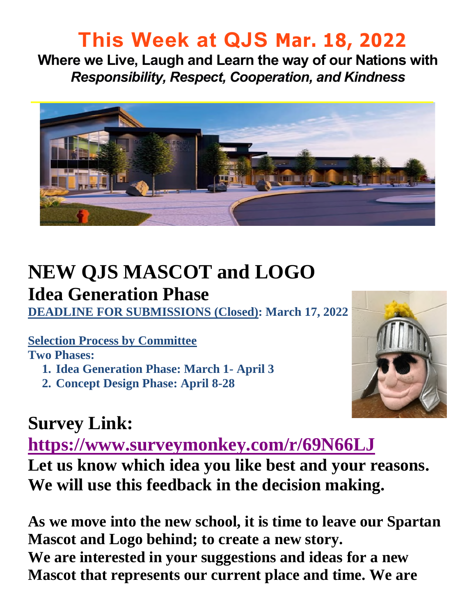### **This Week at QJS Mar. 18, 2022**

**Where we Live, Laugh and Learn the way of our Nations with**  *Responsibility, Respect, Cooperation, and Kindness* 



### **NEW QJS MASCOT and LOGO Idea Generation Phase**

**DEADLINE FOR SUBMISSIONS (Closed): March 17, 2022** 

#### **Selection Process by Committee**

**Two Phases:** 

- **1. Idea Generation Phase: March 1- April 3**
- **2. Concept Design Phase: April 8-28**



### **Survey Link:**

**<https://www.surveymonkey.com/r/69N66LJ>**

**Let us know which idea you like best and your reasons. We will use this feedback in the decision making.** 

**As we move into the new school, it is time to leave our Spartan Mascot and Logo behind; to create a new story. We are interested in your suggestions and ideas for a new Mascot that represents our current place and time. We are**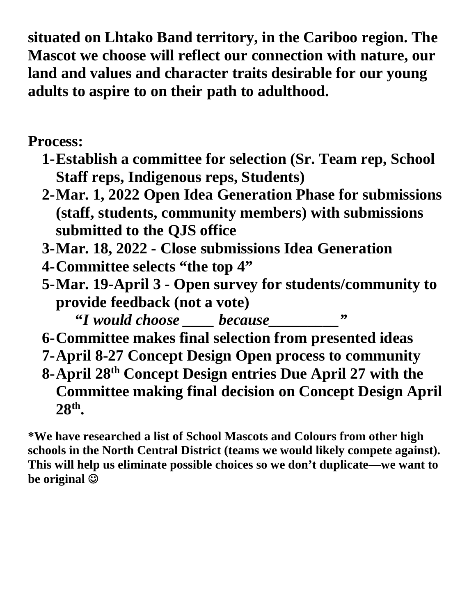**situated on Lhtako Band territory, in the Cariboo region. The Mascot we choose will reflect our connection with nature, our land and values and character traits desirable for our young adults to aspire to on their path to adulthood.** 

**Process:** 

- **1-Establish a committee for selection (Sr. Team rep, School Staff reps, Indigenous reps, Students)**
- **2-Mar. 1, 2022 Open Idea Generation Phase for submissions (staff, students, community members) with submissions submitted to the QJS office**
- **3-Mar. 18, 2022 Close submissions Idea Generation**
- **4-Committee selects "the top 4"**
- **5-Mar. 19-April 3 Open survey for students/community to provide feedback (not a vote)** 
	- "*I* would choose <u>because</u>  $\cdot$   $\cdot$   $\cdot$
- **6-Committee makes final selection from presented ideas**
- **7-April 8-27 Concept Design Open process to community**

**8-April 28th Concept Design entries Due April 27 with the Committee making final decision on Concept Design April 28th .** 

**\*We have researched a list of School Mascots and Colours from other high schools in the North Central District (teams we would likely compete against). This will help us eliminate possible choices so we don't duplicate—we want to be original**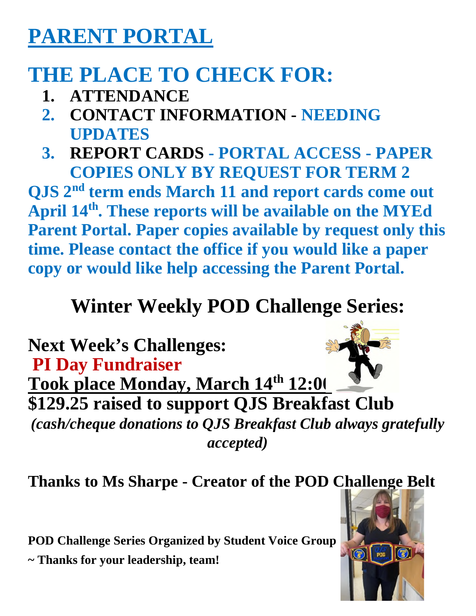## **PARENT PORTAL**

# **THE PLACE TO CHECK FOR:**

- **1. ATTENDANCE**
- **2. CONTACT INFORMATION NEEDING UPDATES**
- **3. REPORT CARDS PORTAL ACCESS PAPER COPIES ONLY BY REQUEST FOR TERM 2**

**QJS 2nd term ends March 11 and report cards come out April 14th. These reports will be available on the MYEd Parent Portal. Paper copies available by request only this time. Please contact the office if you would like a paper copy or would like help accessing the Parent Portal.** 

## **Winter Weekly POD Challenge Series:**

**Next Week's Challenges: PI Day Fundraiser Took place Monday, March 14th 12:00 \$129.25 raised to support QJS Breakfast Club**  *(cash/cheque donations to QJS Breakfast Club always gratefully accepted)* 

**Thanks to Ms Sharpe - Creator of the POD Challenge Belt**

**POD Challenge Series Organized by Student Voice Group ~ Thanks for your leadership, team!**

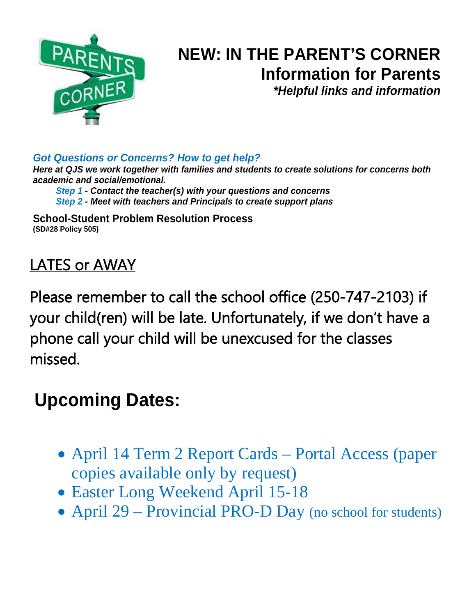

### **NEW: IN THE PARENT'S CORNER Information for Parents**  *\*Helpful links and information*

*Got Questions or Concerns? How to get help?* 

*Here at QJS we work together with families and students to create solutions for concerns both academic and social/emotional.* 

*Step 1 - Contact the teacher(s) with your questions and concerns Step 2 - Meet with teachers and Principals to create support plans* 

**School-Student Problem Resolution Process (SD#28 Policy 505)**

### LATES or AWAY

Please remember to call the school office (250-747-2103) if your child(ren) will be late. Unfortunately, if we don't have a phone call your child will be unexcused for the classes missed.

### **Upcoming Dates:**

- April 14 Term 2 Report Cards Portal Access (paper copies available only by request)
- Easter Long Weekend April 15-18
- April 29 Provincial PRO-D Day (no school for students)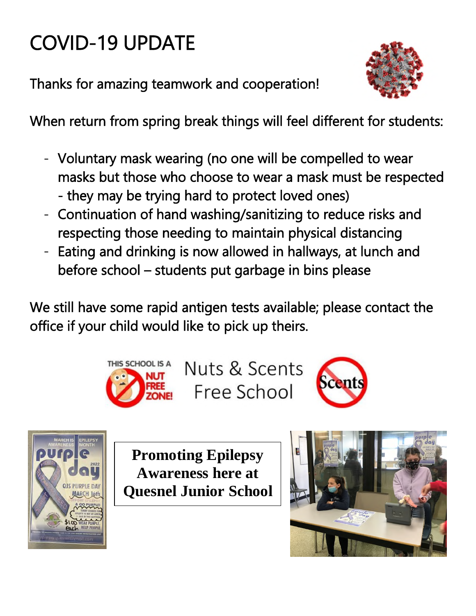# COVID-19 UPDATE

Thanks for amazing teamwork and cooperation!



When return from spring break things will feel different for students:

- Voluntary mask wearing (no one will be compelled to wear masks but those who choose to wear a mask must be respected - they may be trying hard to protect loved ones)
- Continuation of hand washing/sanitizing to reduce risks and respecting those needing to maintain physical distancing
- Eating and drinking is now allowed in hallways, at lunch and before school – students put garbage in bins please

We still have some rapid antigen tests available; please contact the office if your child would like to pick up theirs.



Nuts & Scents Free School





**Promoting Epilepsy Awareness here at Quesnel Junior School**

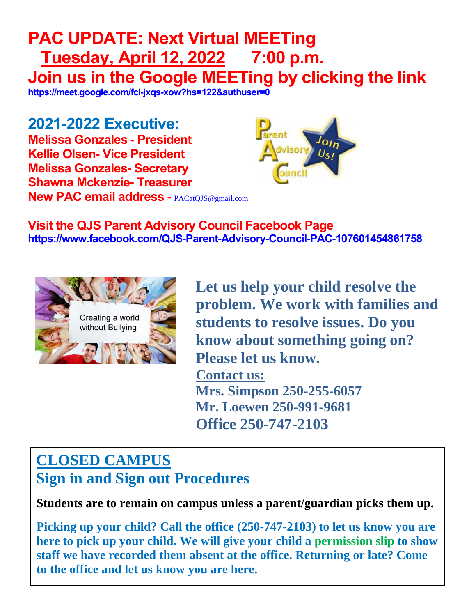### **PAC UPDATE: Next Virtual MEETing Tuesday, April 12, 2022 7:00 p.m. Join us in the Google MEETing by clicking the link <https://meet.google.com/fci-jxqs-xow?hs=122&authuser=0>**

**2021-2022 Executive: Melissa Gonzales - President Kellie Olsen- Vice President Melissa Gonzales- Secretary Shawna Mckenzie- Treasurer New PAC email address -** [PACatQJS@gmail.com](mailto:PACatQJS@gmail.com) 



**Visit the QJS Parent Advisory Council Facebook Page <https://www.facebook.com/QJS-Parent-Advisory-Council-PAC-107601454861758>**



**Let us help your child resolve the problem. We work with families and students to resolve issues. Do you know about something going on? Please let us know. Contact us: Mrs. Simpson 250-255-6057 Mr. Loewen 250-991-9681 Office 250-747-2103** 

### **CLOSED CAMPUS**

**Sign in and Sign out Procedures**

**Students are to remain on campus unless a parent/guardian picks them up.** 

**Picking up your child? Call the office (250-747-2103) to let us know you are here to pick up your child. We will give your child a permission slip to show staff we have recorded them absent at the office. Returning or late? Come to the office and let us know you are here.**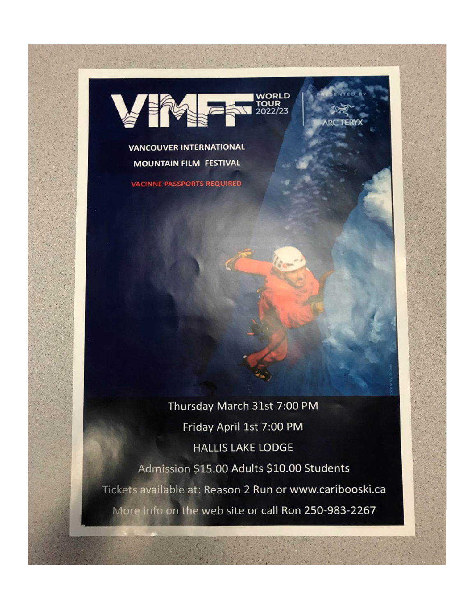

**VANCOUVER INTERNATIONAL MOUNTAIN FILM FESTIVAL** 

**VACINNE PASSPORTS REQUIRED** 

Thursday March 31st 7:00 PM Friday April 1st 7:00 PM **HALLIS LAKE LODGE** Admission \$15.00 Adults \$10.00 Students Tickets available at: Reason 2 Run or www.caribooski.ca More info on the web site or call Ron 250-983-2267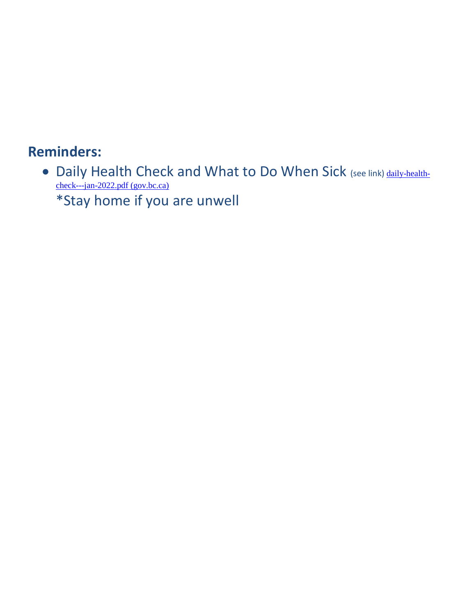#### **Reminders:**

• Daily Health Check and What to Do When Sick (see link) [daily-health](http://www.bced.gov.bc.ca/bulletin/20220121/daily-health-check---jan-2022.pdf)[check---jan-2022.pdf \(gov.bc.ca\)](http://www.bced.gov.bc.ca/bulletin/20220121/daily-health-check---jan-2022.pdf) \*Stay home if you are unwell